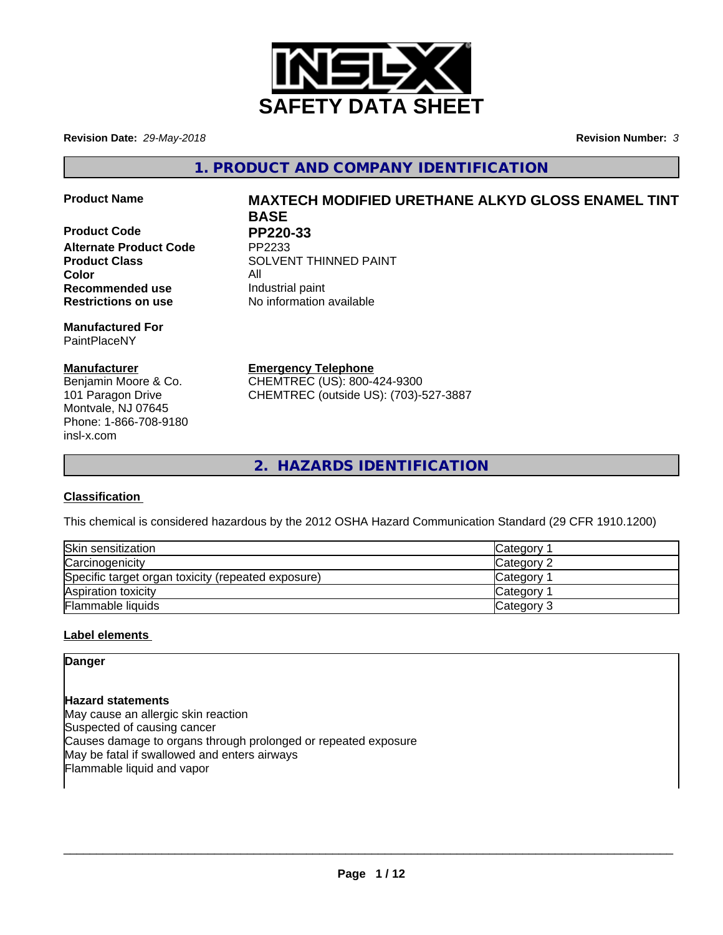

**Revision Date:** *29-May-2018* **Revision Number:** *3*

**1. PRODUCT AND COMPANY IDENTIFICATION**

**Product Code PP220-33**<br>Alternate Product Code PP2233 **Alternate Product Code Color** All **Recommended use Industrial paint Restrictions on use** No information available

**Manufactured For** PaintPlaceNY

## **Manufacturer**

Benjamin Moore & Co. 101 Paragon Drive Montvale, NJ 07645 Phone: 1-866-708-9180 insl-x.com

# **Product Name MAXTECH MODIFIED URETHANE ALKYD GLOSS ENAMEL TINT BASE**

**Product Class SOLVENT THINNED PAINT** 

**Emergency Telephone** CHEMTREC (US): 800-424-9300

CHEMTREC (outside US): (703)-527-3887

**2. HAZARDS IDENTIFICATION**

## **Classification**

This chemical is considered hazardous by the 2012 OSHA Hazard Communication Standard (29 CFR 1910.1200)

| Skin sensitization                                 | Category        |
|----------------------------------------------------|-----------------|
| Carcinogenicity                                    | Category 2      |
| Specific target organ toxicity (repeated exposure) | <b>Category</b> |
| Aspiration toxicity                                | <b>Category</b> |
| Flammable liquids                                  | Category 3      |

## **Label elements**

**Danger**

**Hazard statements** May cause an allergic skin reaction Suspected of causing cancer Causes damage to organs through prolonged or repeated exposure May be fatal if swallowed and enters airways Flammable liquid and vapor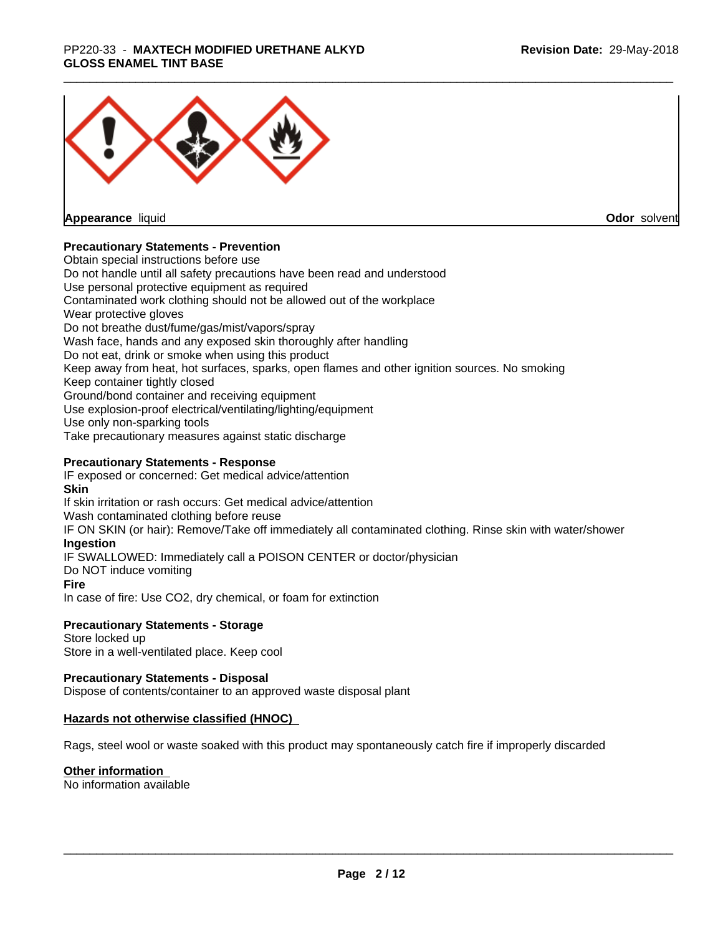## \_\_\_\_\_\_\_\_\_\_\_\_\_\_\_\_\_\_\_\_\_\_\_\_\_\_\_\_\_\_\_\_\_\_\_\_\_\_\_\_\_\_\_\_\_\_\_\_\_\_\_\_\_\_\_\_\_\_\_\_\_\_\_\_\_\_\_\_\_\_\_\_\_\_\_\_\_\_\_\_\_\_\_\_\_\_\_\_\_\_\_\_\_ PP220-33 - **MAXTECH MODIFIED URETHANE ALKYD GLOSS ENAMEL TINT BASE**



**Appearance** liquid

**Odor** solvent

## **Precautionary Statements - Prevention**

Obtain special instructions before use Do not handle until all safety precautions have been read and understood Use personal protective equipment as required Contaminated work clothing should not be allowed out of the workplace Wear protective gloves Do not breathe dust/fume/gas/mist/vapors/spray Wash face, hands and any exposed skin thoroughly after handling Do not eat, drink or smoke when using this product Keep away from heat, hot surfaces, sparks, open flames and other ignition sources. No smoking Keep container tightly closed Ground/bond container and receiving equipment Use explosion-proof electrical/ventilating/lighting/equipment Use only non-sparking tools Take precautionary measures against static discharge

## **Precautionary Statements - Response**

IF exposed or concerned: Get medical advice/attention **Skin** If skin irritation or rash occurs: Get medical advice/attention Wash contaminated clothing before reuse IF ON SKIN (or hair): Remove/Take off immediately all contaminated clothing. Rinse skin with water/shower **Ingestion** IF SWALLOWED: Immediately call a POISON CENTER or doctor/physician Do NOT induce vomiting **Fire** In case of fire: Use CO2, dry chemical, or foam for extinction

## **Precautionary Statements - Storage**

Store locked up Store in a well-ventilated place. Keep cool

## **Precautionary Statements - Disposal**

Dispose of contents/container to an approved waste disposal plant

## **Hazards not otherwise classified (HNOC)**

Rags, steel wool or waste soaked with this product may spontaneously catch fire if improperly discarded

## **Other information**

No information available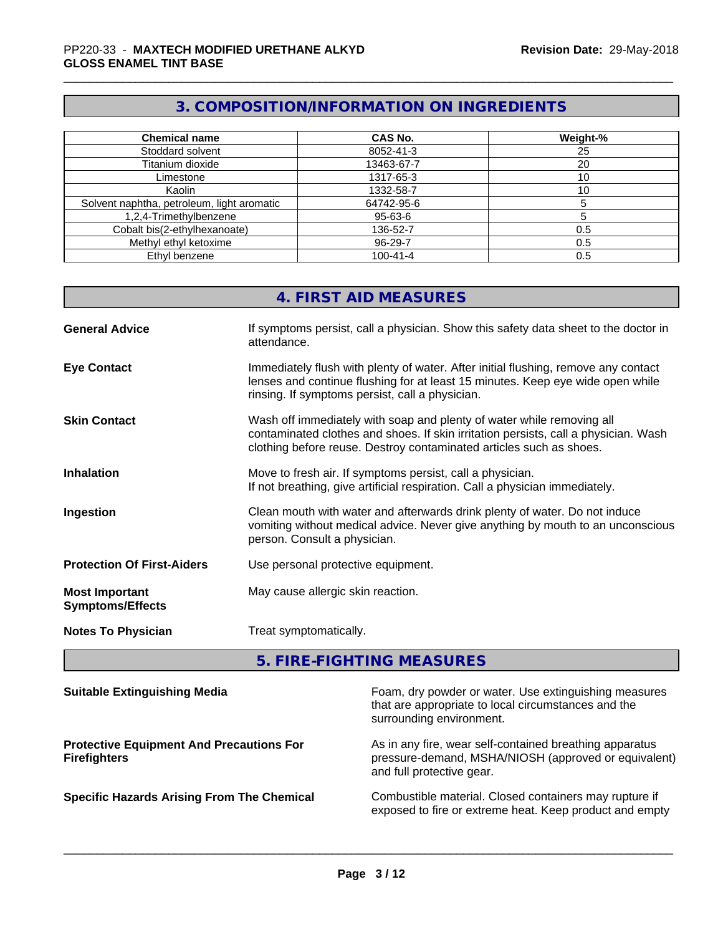## **3. COMPOSITION/INFORMATION ON INGREDIENTS**

| <b>Chemical name</b>                       | <b>CAS No.</b> | Weight-% |
|--------------------------------------------|----------------|----------|
| Stoddard solvent                           | 8052-41-3      | 25       |
| Titanium dioxide                           | 13463-67-7     | 20       |
| Limestone                                  | 1317-65-3      | 10       |
| Kaolin                                     | 1332-58-7      | 10       |
| Solvent naphtha, petroleum, light aromatic | 64742-95-6     |          |
| 1,2,4-Trimethylbenzene                     | 95-63-6        |          |
| Cobalt bis(2-ethylhexanoate)               | 136-52-7       | 0.5      |
| Methyl ethyl ketoxime                      | 96-29-7        | 0.5      |
| Ethyl benzene                              | $100 - 41 - 4$ | 0.5      |

|                                                  | 4. FIRST AID MEASURES                                                                                                                                                                                                               |
|--------------------------------------------------|-------------------------------------------------------------------------------------------------------------------------------------------------------------------------------------------------------------------------------------|
| <b>General Advice</b>                            | If symptoms persist, call a physician. Show this safety data sheet to the doctor in<br>attendance.                                                                                                                                  |
| <b>Eye Contact</b>                               | Immediately flush with plenty of water. After initial flushing, remove any contact<br>lenses and continue flushing for at least 15 minutes. Keep eye wide open while<br>rinsing. If symptoms persist, call a physician.             |
| <b>Skin Contact</b>                              | Wash off immediately with soap and plenty of water while removing all<br>contaminated clothes and shoes. If skin irritation persists, call a physician. Wash<br>clothing before reuse. Destroy contaminated articles such as shoes. |
| <b>Inhalation</b>                                | Move to fresh air. If symptoms persist, call a physician.<br>If not breathing, give artificial respiration. Call a physician immediately.                                                                                           |
| Ingestion                                        | Clean mouth with water and afterwards drink plenty of water. Do not induce<br>vomiting without medical advice. Never give anything by mouth to an unconscious<br>person. Consult a physician.                                       |
| <b>Protection Of First-Aiders</b>                | Use personal protective equipment.                                                                                                                                                                                                  |
| <b>Most Important</b><br><b>Symptoms/Effects</b> | May cause allergic skin reaction.                                                                                                                                                                                                   |
| <b>Notes To Physician</b>                        | Treat symptomatically.                                                                                                                                                                                                              |
|                                                  |                                                                                                                                                                                                                                     |

# **5. FIRE-FIGHTING MEASURES**

| <b>Suitable Extinguishing Media</b>                                    | Foam, dry powder or water. Use extinguishing measures<br>that are appropriate to local circumstances and the<br>surrounding environment.     |
|------------------------------------------------------------------------|----------------------------------------------------------------------------------------------------------------------------------------------|
| <b>Protective Equipment And Precautions For</b><br><b>Firefighters</b> | As in any fire, wear self-contained breathing apparatus<br>pressure-demand, MSHA/NIOSH (approved or equivalent)<br>and full protective gear. |
| <b>Specific Hazards Arising From The Chemical</b>                      | Combustible material. Closed containers may rupture if<br>exposed to fire or extreme heat. Keep product and empty                            |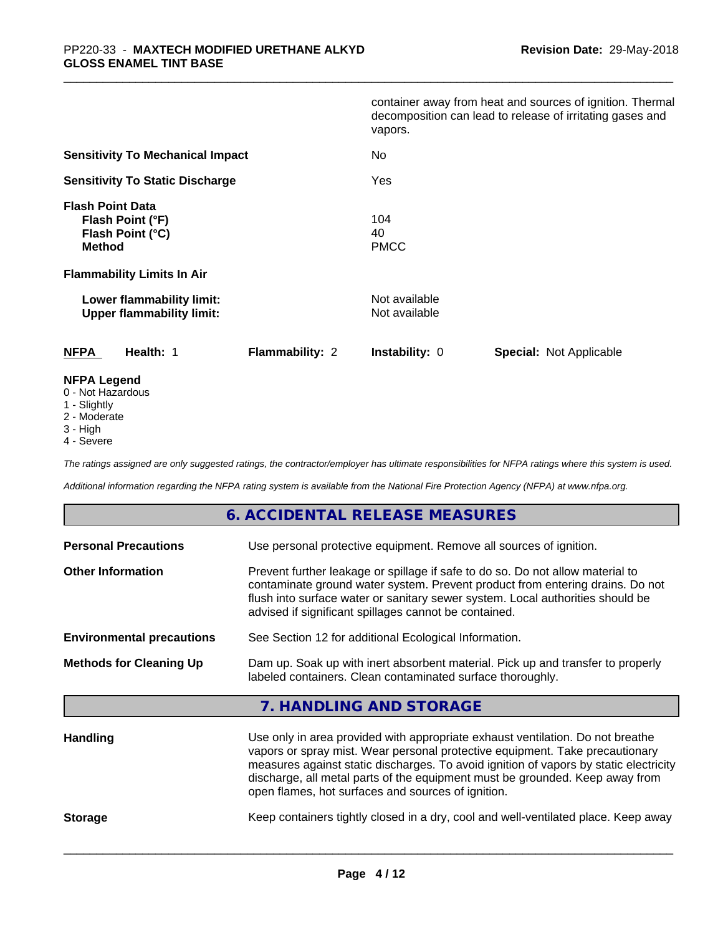|                                                                                  | container away from heat and sources of ignition. Thermal<br>decomposition can lead to release of irritating gases and<br>vapors. |
|----------------------------------------------------------------------------------|-----------------------------------------------------------------------------------------------------------------------------------|
| <b>Sensitivity To Mechanical Impact</b>                                          | No                                                                                                                                |
| <b>Sensitivity To Static Discharge</b>                                           | Yes                                                                                                                               |
| <b>Flash Point Data</b><br>Flash Point (°F)<br>Flash Point (°C)<br><b>Method</b> | 104<br>40<br><b>PMCC</b>                                                                                                          |
| <b>Flammability Limits In Air</b>                                                |                                                                                                                                   |
| Lower flammability limit:<br><b>Upper flammability limit:</b>                    | Not available<br>Not available                                                                                                    |
| Health: 1<br><b>Flammability: 2</b><br><b>NFPA</b>                               | <b>Instability: 0</b><br><b>Special: Not Applicable</b>                                                                           |
| <b>NFPA Legend</b><br>0 - Not Hazardous                                          |                                                                                                                                   |

- 1 Slightly
- 2 Moderate
- 3 High
- 4 Severe

*The ratings assigned are only suggested ratings, the contractor/employer has ultimate responsibilities for NFPA ratings where this system is used.*

*Additional information regarding the NFPA rating system is available from the National Fire Protection Agency (NFPA) at www.nfpa.org.*

## **6. ACCIDENTAL RELEASE MEASURES**

| <b>Personal Precautions</b>      | Use personal protective equipment. Remove all sources of ignition.                                                                                                                                                                                                                                                                                                                            |  |  |
|----------------------------------|-----------------------------------------------------------------------------------------------------------------------------------------------------------------------------------------------------------------------------------------------------------------------------------------------------------------------------------------------------------------------------------------------|--|--|
| <b>Other Information</b>         | Prevent further leakage or spillage if safe to do so. Do not allow material to<br>contaminate ground water system. Prevent product from entering drains. Do not<br>flush into surface water or sanitary sewer system. Local authorities should be<br>advised if significant spillages cannot be contained.                                                                                    |  |  |
| <b>Environmental precautions</b> | See Section 12 for additional Ecological Information.                                                                                                                                                                                                                                                                                                                                         |  |  |
| <b>Methods for Cleaning Up</b>   | Dam up. Soak up with inert absorbent material. Pick up and transfer to properly<br>labeled containers. Clean contaminated surface thoroughly.                                                                                                                                                                                                                                                 |  |  |
|                                  | 7. HANDLING AND STORAGE                                                                                                                                                                                                                                                                                                                                                                       |  |  |
| <b>Handling</b>                  | Use only in area provided with appropriate exhaust ventilation. Do not breathe<br>vapors or spray mist. Wear personal protective equipment. Take precautionary<br>measures against static discharges. To avoid ignition of vapors by static electricity<br>discharge, all metal parts of the equipment must be grounded. Keep away from<br>open flames, hot surfaces and sources of ignition. |  |  |

**Storage** Keep containers tightly closed in a dry, cool and well-ventilated place. Keep away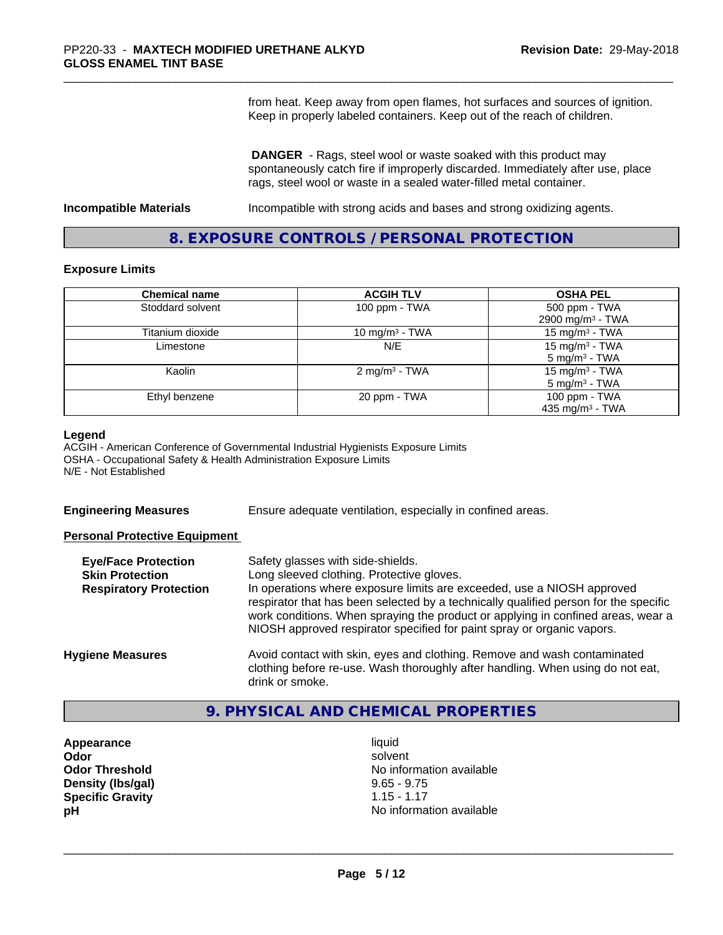from heat. Keep away from open flames, hot surfaces and sources of ignition. Keep in properly labeled containers. Keep out of the reach of children.

 **DANGER** - Rags, steel wool or waste soaked with this product may spontaneously catch fire if improperly discarded. Immediately after use, place rags, steel wool or waste in a sealed water-filled metal container.

**Incompatible Materials Incompatible with strong acids and bases and strong oxidizing agents.** 

## **8. EXPOSURE CONTROLS / PERSONAL PROTECTION**

#### **Exposure Limits**

| <b>Chemical name</b> | <b>ACGIH TLV</b>           | <b>OSHA PEL</b>              |
|----------------------|----------------------------|------------------------------|
| Stoddard solvent     | 100 ppm - TWA              | 500 ppm - TWA                |
|                      |                            | 2900 mg/m <sup>3</sup> - TWA |
| Titanium dioxide     | 10 mg/m <sup>3</sup> - TWA | 15 mg/m <sup>3</sup> - TWA   |
| Limestone            | N/E                        | 15 mg/m <sup>3</sup> - TWA   |
|                      |                            | $5 \text{ mg/m}^3$ - TWA     |
| Kaolin               | 2 mg/m <sup>3</sup> - TWA  | 15 mg/m <sup>3</sup> - TWA   |
|                      |                            | $5 \text{ mg/m}^3$ - TWA     |
| Ethyl benzene        | 20 ppm - TWA               | 100 ppm - TWA                |
|                      |                            | 435 mg/m <sup>3</sup> - TWA  |

#### **Legend**

ACGIH - American Conference of Governmental Industrial Hygienists Exposure Limits OSHA - Occupational Safety & Health Administration Exposure Limits N/E - Not Established

**Engineering Measures** Ensure adequate ventilation, especially in confined areas.

## **Personal Protective Equipment**

| <b>Eye/Face Protection</b><br><b>Skin Protection</b><br><b>Respiratory Protection</b> | Safety glasses with side-shields.<br>Long sleeved clothing. Protective gloves.<br>In operations where exposure limits are exceeded, use a NIOSH approved<br>respirator that has been selected by a technically qualified person for the specific<br>work conditions. When spraying the product or applying in confined areas, wear a<br>NIOSH approved respirator specified for paint spray or organic vapors. |
|---------------------------------------------------------------------------------------|----------------------------------------------------------------------------------------------------------------------------------------------------------------------------------------------------------------------------------------------------------------------------------------------------------------------------------------------------------------------------------------------------------------|
| <b>Hygiene Measures</b>                                                               | Avoid contact with skin, eyes and clothing. Remove and wash contaminated<br>clothing before re-use. Wash thoroughly after handling. When using do not eat,<br>drink or smoke.                                                                                                                                                                                                                                  |

## **9. PHYSICAL AND CHEMICAL PROPERTIES**

- **Appearance** liquid **Density (lbs/gal)** 9.65 - 9.75<br> **Specific Gravity** 1.15 - 1.17 **Specific Gravity**
- **Odor** solvent **Odor Threshold No information available No information available pH pH**  $\blacksquare$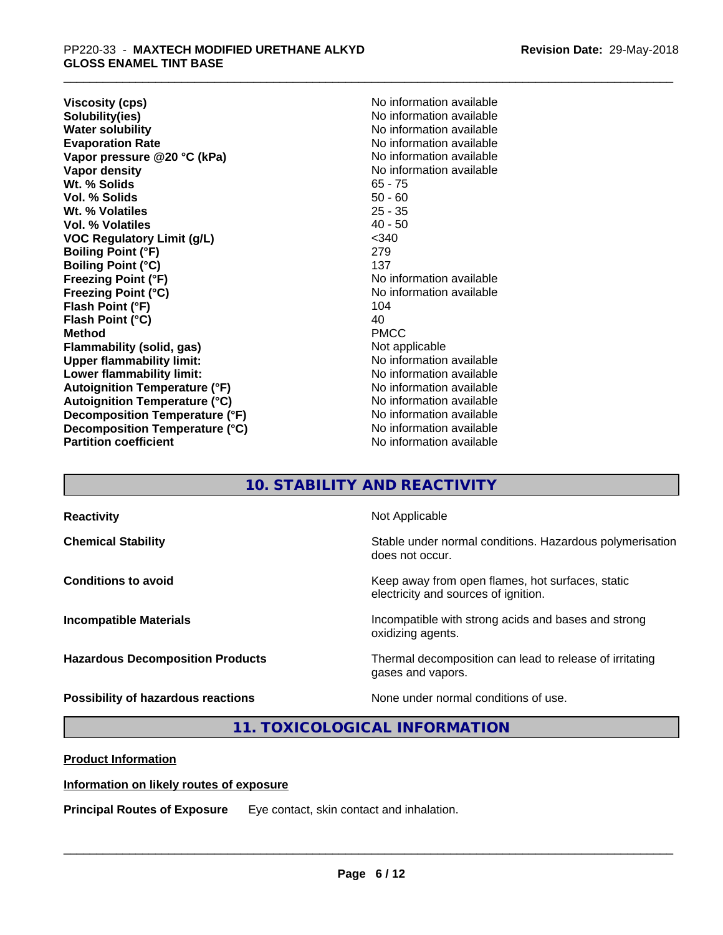**Viscosity (cps)** <br> **Viscosity (cps)** <br> **Solubility(ies)** <br> **Solubility(ies)** <br> **No** information available **Solubility(ies)**<br> **No information available**<br> **Water solubility**<br> **Water solubility Evaporation Rate No information available No information available Vapor pressure @20 °C (kPa)** No information available **Vapor density Vapor** density **Wt. % Solids** 65 - 75 **Vol. % Solids** 50 - 60 Wt. % Volatiles **Vol. % Volatiles** 40 - 50 **VOC Regulatory Limit (g/L)** <340 **Boiling Point (°F)** 279 **Boiling Point (°C)** 137<br> **Freezing Point (°F)** No i **Freezing Point (°C)** No information available **Flash Point (°F)** 104<br> **Flash Point (°C)** 104<br>
104 **Flash Point (°C) Method** PMCC **Flammability (solid, gas)** Not applicable **Upper flammability limit:** No information available **Lower flammability limit:** No information available **Lower** flammability limit: **Autoignition Temperature (°F)** No information available **Autoignition Temperature (°C)** No information available **Decomposition Temperature (°F)** No information available **Decomposition Temperature (°C)**<br> **Partition coefficient**<br> **Partition coefficient**<br> **No** information available

**No information available No information available No information available** 

## **10. STABILITY AND REACTIVITY**

| <b>Reactivity</b>                       | Not Applicable                                                                           |
|-----------------------------------------|------------------------------------------------------------------------------------------|
| <b>Chemical Stability</b>               | Stable under normal conditions. Hazardous polymerisation<br>does not occur.              |
| <b>Conditions to avoid</b>              | Keep away from open flames, hot surfaces, static<br>electricity and sources of ignition. |
| <b>Incompatible Materials</b>           | Incompatible with strong acids and bases and strong<br>oxidizing agents.                 |
| <b>Hazardous Decomposition Products</b> | Thermal decomposition can lead to release of irritating<br>gases and vapors.             |
| Possibility of hazardous reactions      | None under normal conditions of use.                                                     |

## **11. TOXICOLOGICAL INFORMATION**

**Product Information**

## **Information on likely routes of exposure**

**Principal Routes of Exposure** Eye contact, skin contact and inhalation.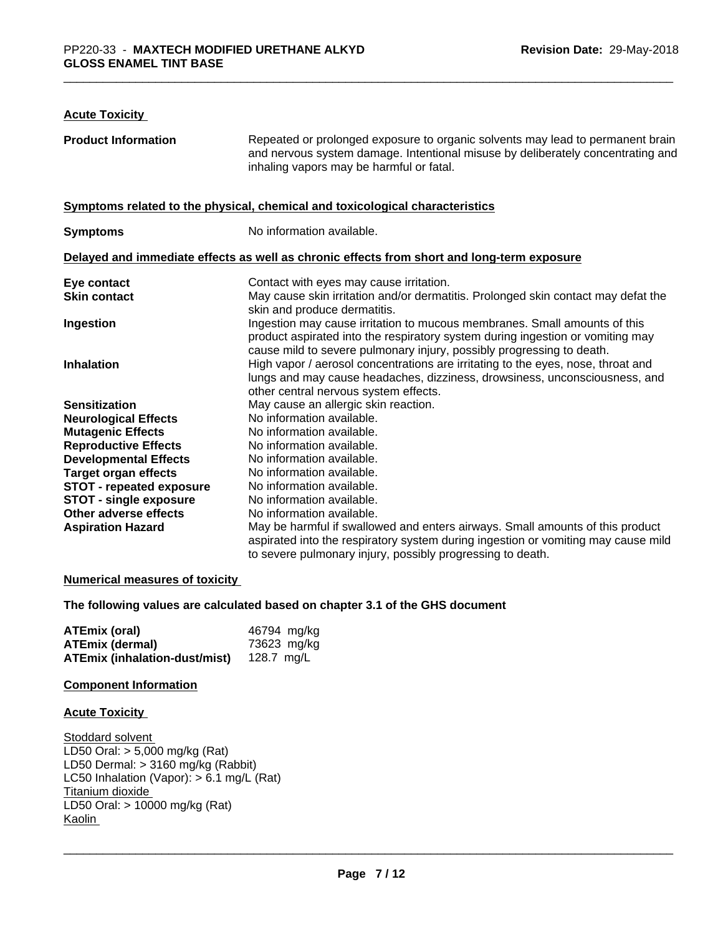## **Acute Toxicity**

| <b>Product Information</b>      | Repeated or prolonged exposure to organic solvents may lead to permanent brain<br>and nervous system damage. Intentional misuse by deliberately concentrating and<br>inhaling vapors may be harmful or fatal.                        |
|---------------------------------|--------------------------------------------------------------------------------------------------------------------------------------------------------------------------------------------------------------------------------------|
|                                 | Symptoms related to the physical, chemical and toxicological characteristics                                                                                                                                                         |
| <b>Symptoms</b>                 | No information available.                                                                                                                                                                                                            |
|                                 | Delayed and immediate effects as well as chronic effects from short and long-term exposure                                                                                                                                           |
| Eye contact                     | Contact with eyes may cause irritation.                                                                                                                                                                                              |
| <b>Skin contact</b>             | May cause skin irritation and/or dermatitis. Prolonged skin contact may defat the<br>skin and produce dermatitis.                                                                                                                    |
| Ingestion                       | Ingestion may cause irritation to mucous membranes. Small amounts of this<br>product aspirated into the respiratory system during ingestion or vomiting may<br>cause mild to severe pulmonary injury, possibly progressing to death. |
| <b>Inhalation</b>               | High vapor / aerosol concentrations are irritating to the eyes, nose, throat and<br>lungs and may cause headaches, dizziness, drowsiness, unconsciousness, and<br>other central nervous system effects.                              |
| <b>Sensitization</b>            | May cause an allergic skin reaction.                                                                                                                                                                                                 |
| <b>Neurological Effects</b>     | No information available.                                                                                                                                                                                                            |
| <b>Mutagenic Effects</b>        | No information available.                                                                                                                                                                                                            |
| <b>Reproductive Effects</b>     | No information available.                                                                                                                                                                                                            |
| <b>Developmental Effects</b>    | No information available.                                                                                                                                                                                                            |
| <b>Target organ effects</b>     | No information available.                                                                                                                                                                                                            |
| <b>STOT - repeated exposure</b> | No information available.                                                                                                                                                                                                            |
| <b>STOT - single exposure</b>   | No information available.                                                                                                                                                                                                            |
| Other adverse effects           | No information available.                                                                                                                                                                                                            |
| <b>Aspiration Hazard</b>        | May be harmful if swallowed and enters airways. Small amounts of this product<br>aspirated into the respiratory system during ingestion or vomiting may cause mild<br>to severe pulmonary injury, possibly progressing to death.     |

## **Numerical measures of toxicity**

**The following values are calculated based on chapter 3.1 of the GHS document**

| ATEmix (oral)                                   | 46794 mg/kg |
|-------------------------------------------------|-------------|
| <b>ATEmix (dermal)</b>                          | 73623 mg/kg |
| <b>ATEmix (inhalation-dust/mist)</b> 128.7 mg/L |             |

## **Component Information**

#### **Acute Toxicity**

Stoddard solvent LD50 Oral: > 5,000 mg/kg (Rat) LD50 Dermal: > 3160 mg/kg (Rabbit) LC50 Inhalation (Vapor): > 6.1 mg/L (Rat) Titanium dioxide LD50 Oral: > 10000 mg/kg (Rat) Kaolin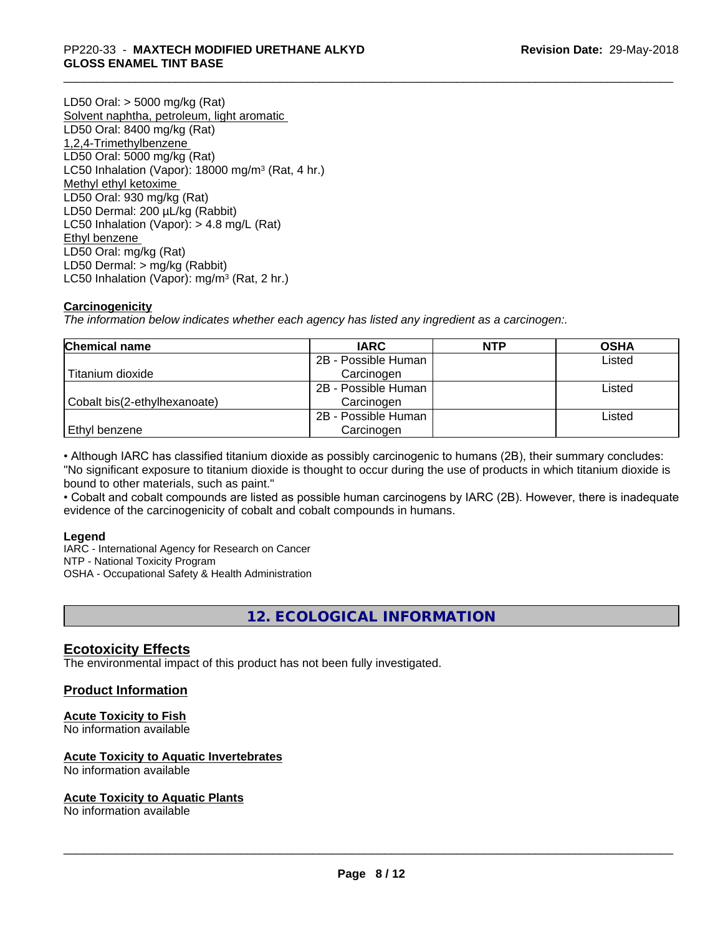## \_\_\_\_\_\_\_\_\_\_\_\_\_\_\_\_\_\_\_\_\_\_\_\_\_\_\_\_\_\_\_\_\_\_\_\_\_\_\_\_\_\_\_\_\_\_\_\_\_\_\_\_\_\_\_\_\_\_\_\_\_\_\_\_\_\_\_\_\_\_\_\_\_\_\_\_\_\_\_\_\_\_\_\_\_\_\_\_\_\_\_\_\_ PP220-33 - **MAXTECH MODIFIED URETHANE ALKYD GLOSS ENAMEL TINT BASE**

LD50 Oral: > 5000 mg/kg (Rat) Solvent naphtha, petroleum, light aromatic LD50 Oral: 8400 mg/kg (Rat) 1,2,4-Trimethylbenzene LD50 Oral: 5000 mg/kg (Rat) LC50 Inhalation (Vapor): 18000 mg/m<sup>3</sup> (Rat, 4 hr.) Methyl ethyl ketoxime LD50 Oral: 930 mg/kg (Rat) LD50 Dermal: 200 µL/kg (Rabbit) LC50 Inhalation (Vapor): > 4.8 mg/L (Rat) Ethyl benzene LD50 Oral: mg/kg (Rat) LD50 Dermal: > mg/kg (Rabbit) LC50 Inhalation (Vapor): mg/m<sup>3</sup> (Rat, 2 hr.)

## **Carcinogenicity**

*The information below indicateswhether each agency has listed any ingredient as a carcinogen:.*

| <b>Chemical name</b>         | <b>IARC</b>         | <b>NTP</b> | <b>OSHA</b> |
|------------------------------|---------------------|------------|-------------|
|                              | 2B - Possible Human |            | Listed      |
| Titanium dioxide             | Carcinogen          |            |             |
|                              | 2B - Possible Human |            | Listed      |
| Cobalt bis(2-ethylhexanoate) | Carcinogen          |            |             |
|                              | 2B - Possible Human |            | Listed      |
| Ethyl benzene                | Carcinogen          |            |             |

• Although IARC has classified titanium dioxide as possibly carcinogenic to humans (2B), their summary concludes: "No significant exposure to titanium dioxide is thought to occur during the use of products in which titanium dioxide is bound to other materials, such as paint."

• Cobalt and cobalt compounds are listed as possible human carcinogens by IARC (2B). However, there is inadequate evidence of the carcinogenicity of cobalt and cobalt compounds in humans.

## **Legend**

IARC - International Agency for Research on Cancer NTP - National Toxicity Program OSHA - Occupational Safety & Health Administration

## **12. ECOLOGICAL INFORMATION**

## **Ecotoxicity Effects**

The environmental impact of this product has not been fully investigated.

## **Product Information**

## **Acute Toxicity to Fish**

No information available

## **Acute Toxicity to Aquatic Invertebrates**

No information available

## **Acute Toxicity to Aquatic Plants**

No information available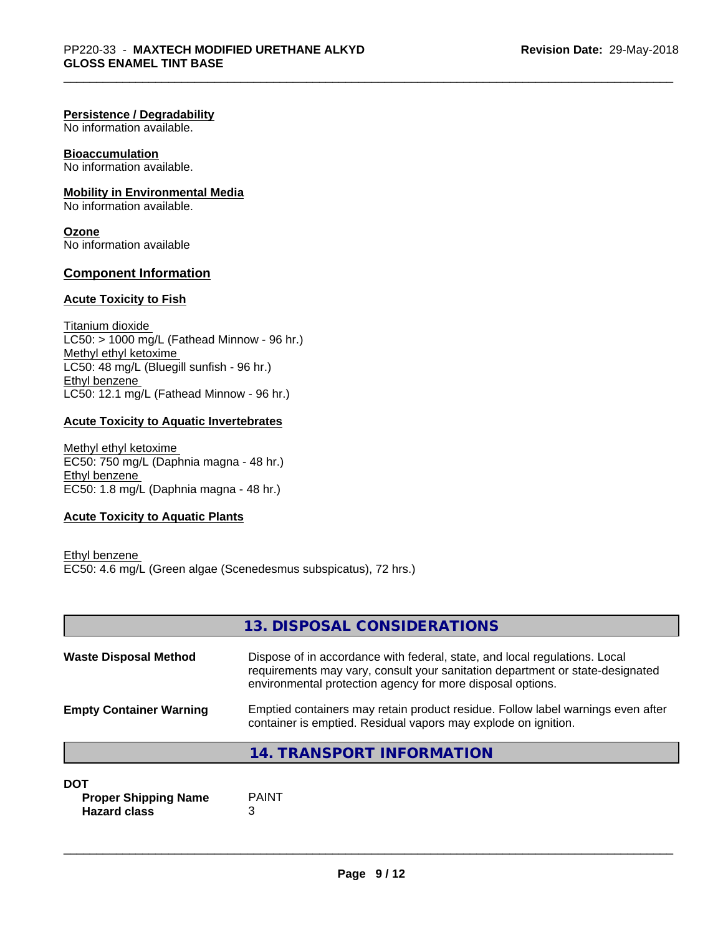## **Persistence / Degradability**

No information available.

## **Bioaccumulation**

No information available.

## **Mobility in Environmental Media**

No information available.

**Ozone** No information available

## **Component Information**

## **Acute Toxicity to Fish**

Titanium dioxide  $LC50: > 1000$  mg/L (Fathead Minnow - 96 hr.) Methyl ethyl ketoxime LC50: 48 mg/L (Bluegill sunfish - 96 hr.) Ethyl benzene LC50: 12.1 mg/L (Fathead Minnow - 96 hr.)

## **Acute Toxicity to Aquatic Invertebrates**

Methyl ethyl ketoxime EC50: 750 mg/L (Daphnia magna - 48 hr.) Ethyl benzene EC50: 1.8 mg/L (Daphnia magna - 48 hr.)

## **Acute Toxicity to Aquatic Plants**

Ethyl benzene EC50: 4.6 mg/L (Green algae (Scenedesmus subspicatus), 72 hrs.)

|                                | 13. DISPOSAL CONSIDERATIONS                                                                                                                                                                                               |
|--------------------------------|---------------------------------------------------------------------------------------------------------------------------------------------------------------------------------------------------------------------------|
| <b>Waste Disposal Method</b>   | Dispose of in accordance with federal, state, and local regulations. Local<br>requirements may vary, consult your sanitation department or state-designated<br>environmental protection agency for more disposal options. |
| <b>Empty Container Warning</b> | Emptied containers may retain product residue. Follow label warnings even after<br>container is emptied. Residual vapors may explode on ignition.                                                                         |
|                                | 14. TRANSPORT INFORMATION                                                                                                                                                                                                 |

#### **DOT**

**Proper Shipping Name** PAINT **Hazard class** 3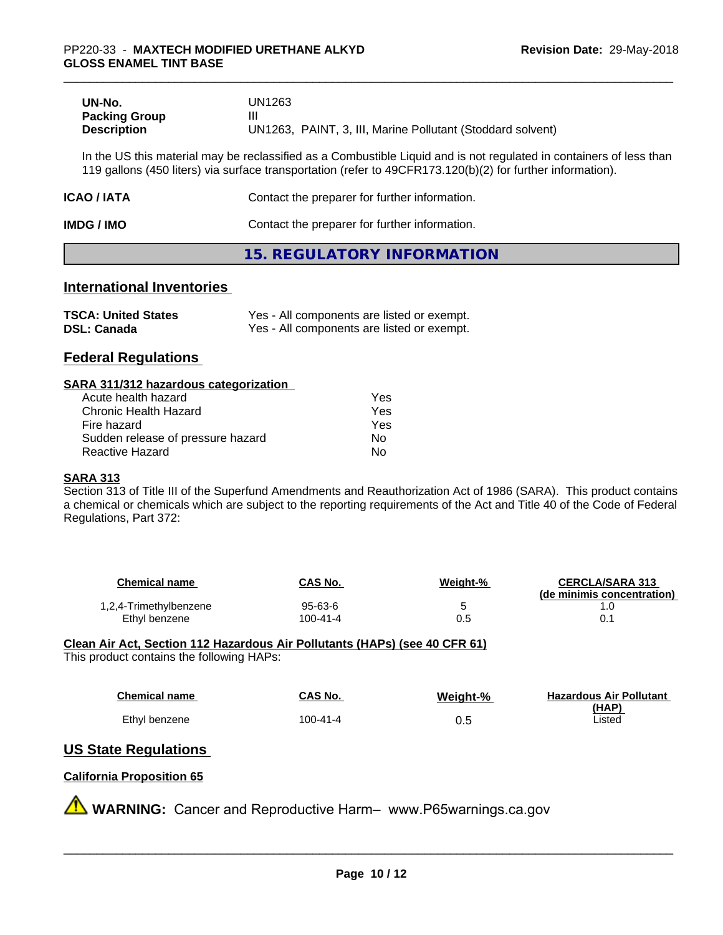| UN-No.               | UN1263                                                     |
|----------------------|------------------------------------------------------------|
| <b>Packing Group</b> | Ш                                                          |
| <b>Description</b>   | UN1263, PAINT, 3, III, Marine Pollutant (Stoddard solvent) |

In the US this material may be reclassified as a Combustible Liquid and is not regulated in containers of less than 119 gallons (450 liters) via surface transportation (refer to 49CFR173.120(b)(2) for further information).

| <b>ICAO/IATA</b> | Contact the preparer for further information. |
|------------------|-----------------------------------------------|
|                  |                                               |

| IMDG / IMO | Contact the preparer for further information. |  |
|------------|-----------------------------------------------|--|
|------------|-----------------------------------------------|--|

## **15. REGULATORY INFORMATION**

## **International Inventories**

| <b>TSCA: United States</b> | Yes - All components are listed or exempt. |
|----------------------------|--------------------------------------------|
| <b>DSL: Canada</b>         | Yes - All components are listed or exempt. |

## **Federal Regulations**

#### **SARA 311/312 hazardous categorization**

| Acute health hazard               | Yes |  |
|-----------------------------------|-----|--|
| Chronic Health Hazard             | Yes |  |
| Fire hazard                       | Yes |  |
| Sudden release of pressure hazard | Nο  |  |
| Reactive Hazard                   | N٥  |  |

## **SARA 313**

Section 313 of Title III of the Superfund Amendments and Reauthorization Act of 1986 (SARA). This product contains a chemical or chemicals which are subject to the reporting requirements of the Act and Title 40 of the Code of Federal Regulations, Part 372:

| Chemical name          | CAS No.  | Weight-% | <b>CERCLA/SARA 313</b><br>(de minimis concentration) |
|------------------------|----------|----------|------------------------------------------------------|
| 1,2,4-Trimethylbenzene | 95-63-6  |          |                                                      |
| Ethyl benzene          | 100-41-4 | 0.5      |                                                      |

#### **Clean Air Act,Section 112 Hazardous Air Pollutants (HAPs) (see 40 CFR 61)** This product contains the following HAPs:

| <b>Chemical name</b> | CAS No.  | Weight-% | <b>Hazardous Air Pollutant</b> |
|----------------------|----------|----------|--------------------------------|
| Ethyl benzene        | 100-41-4 | 0.5      | (HAP)<br>_isted                |

## **US State Regulations**

## **California Proposition 65**

**A** WARNING: Cancer and Reproductive Harm– www.P65warnings.ca.gov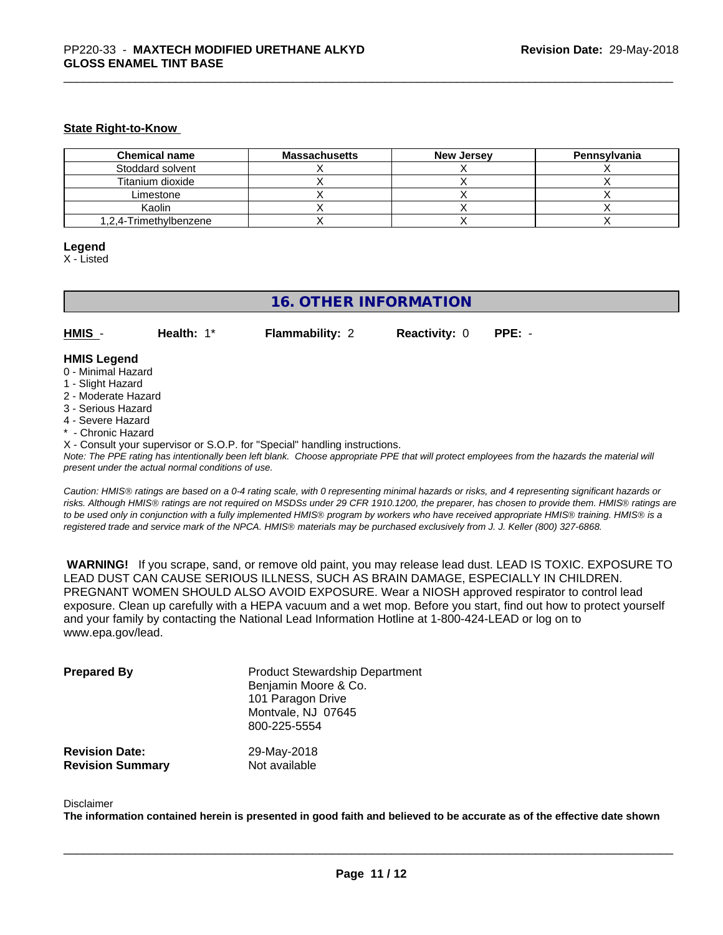#### **State Right-to-Know**

| <b>Chemical name</b>   | <b>Massachusetts</b> | <b>New Jersey</b> | Pennsylvania |
|------------------------|----------------------|-------------------|--------------|
| Stoddard solvent       |                      |                   |              |
| Titanium dioxide       |                      |                   |              |
| Limestone              |                      |                   |              |
| Kaolin                 |                      |                   |              |
| 1,2,4-Trimethylbenzene |                      |                   |              |

#### **Legend**

X - Listed

## **16. OTHER INFORMATION**

**HMIS** - **Health:** 1\* **Flammability:** 2 **Reactivity:** 0 **PPE:** -

#### **HMIS Legend**

- 0 Minimal Hazard
- 1 Slight Hazard
- 2 Moderate Hazard
- 3 Serious Hazard
- 4 Severe Hazard
- \* Chronic Hazard
- X Consult your supervisor or S.O.P. for "Special" handling instructions.

*Note: The PPE rating has intentionally been left blank. Choose appropriate PPE that will protect employees from the hazards the material will present under the actual normal conditions of use.*

*Caution: HMISÒ ratings are based on a 0-4 rating scale, with 0 representing minimal hazards or risks, and 4 representing significant hazards or risks. Although HMISÒ ratings are not required on MSDSs under 29 CFR 1910.1200, the preparer, has chosen to provide them. HMISÒ ratings are to be used only in conjunction with a fully implemented HMISÒ program by workers who have received appropriate HMISÒ training. HMISÒ is a registered trade and service mark of the NPCA. HMISÒ materials may be purchased exclusively from J. J. Keller (800) 327-6868.*

 **WARNING!** If you scrape, sand, or remove old paint, you may release lead dust. LEAD IS TOXIC. EXPOSURE TO LEAD DUST CAN CAUSE SERIOUS ILLNESS, SUCH AS BRAIN DAMAGE, ESPECIALLY IN CHILDREN. PREGNANT WOMEN SHOULD ALSO AVOID EXPOSURE.Wear a NIOSH approved respirator to control lead exposure. Clean up carefully with a HEPA vacuum and a wet mop. Before you start, find out how to protect yourself and your family by contacting the National Lead Information Hotline at 1-800-424-LEAD or log on to www.epa.gov/lead.

| <b>Prepared By</b>      | <b>Product Stewardship Department</b><br>Benjamin Moore & Co.<br>101 Paragon Drive<br>Montvale, NJ 07645<br>800-225-5554 |
|-------------------------|--------------------------------------------------------------------------------------------------------------------------|
| <b>Revision Date:</b>   | 29-May-2018                                                                                                              |
| <b>Revision Summary</b> | Not available                                                                                                            |

#### Disclaimer

The information contained herein is presented in good faith and believed to be accurate as of the effective date shown